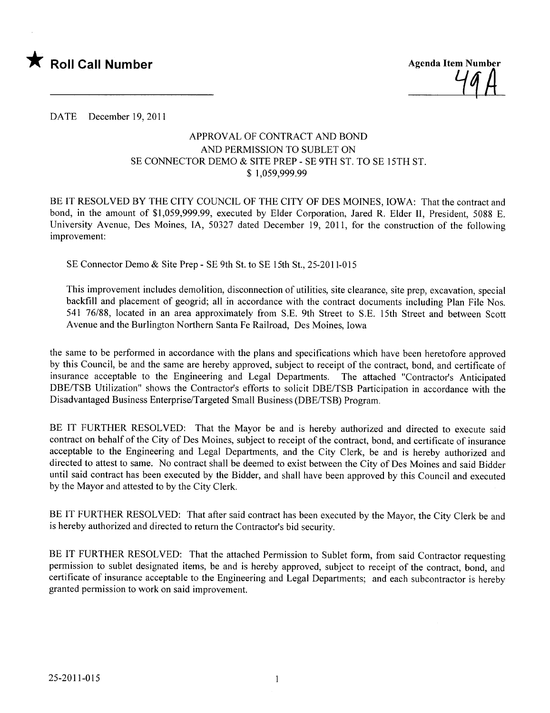

DATE December 19,2011

## APPROV AL OF CONTRACT AND BOND AND PERMISSION TO SUBLET ON SE CONNECTOR DEMO & SITE PREP - SE 9TH ST. TO SE 15TH ST. \$ 1,059,999.99

BE IT RESOLVED BY THE CITY COUNCIL OF THE CITY OF DES MOINES, IOWA: That the contract and bond, in the amount of \$1,059,999.99, executed by Elder Corporation, Jared R. Elder II, President, 5088 E. University Avenue, Des Moines, lA, 50327 dated December 19, 2011, for the construction of the following improvement:

SE Connector Demo & Site Prep - SE 9th St. to SE 15th St., 25-2011-015

This improvement includes demolition, disconnection of utilities, site clearance, site prep, excavation, special backfill and placement of geogrid; all in accordance with the contract documents including Plan File Nos. 541 76/88, located in an area approximately from S.E. 9th Street to S.E. 15th Street and between Scott Avenue and the Burlington Northern Santa Fe Railroad, Des Moines, Iowa

the same to be performed in accordance with the plans and specifications which have been heretofore approved by this Council, be and the same are hereby approved, subject to receipt of the contract, bond, and certificate of insurance acceptable to the Engineering and Legal Departments. The attached "Contractor's Anticipated DBE/TSB Utilization" shows the Contractor's efforts to solicit DBE/TSB Participation in accordance with the Disadvantaged Business Enterprise/Targeted Small Business (DBE/TSB) Program.

BE IT FURTHER RESOLVED: That the Mayor be and is hereby authorized and directed to execute said contract on behalf of the City of Des Moines, subject to receipt of the contract, bond, and certificate of insurance acceptable to the Engineering and Legal Departments, and the City Clerk, be and is hereby authorized and directed to attest to same. No contract shall be deemed to exist between the City of Des Moines and said Bidder until said contract has been executed by the Bidder, and shall have been approved by this Council and executed by the Mayor and attested to by the City Clerk.

BE IT FURTHER RESOLVED: That after said contract has been executed by the Mayor, the City Clerk be and is hereby authorized and directed to return the Contractor's bid security.

BE IT FURTHER RESOLVED: That the attached Permission to Sublet form, from said Contractor requesting permission to sublet designated items, be and is hereby approved, subject to receipt of the contract, bond, and certificate of insurance acceptable to the Engineering and Legal Departments; and each subcontractor is hereby granted permission to work on said improvement.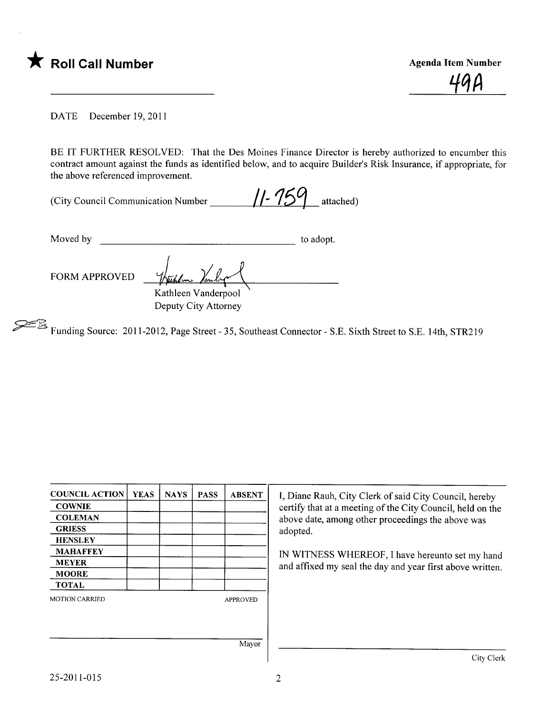\* Roll Call Number Agenda Item Number Agenda Item Number

<u> 771</u>

DATE December 19,2011

BE IT FURTHER RESOLVED: That the Des Moines Finance Director is hereby authorized to encumber this contract amount against the funds as identified below, and to acquire Builder's Risk Insurance, if appropriate, for the above referenced improvement.

| (City Council Communication Number) |  | $11 - 759$ attached) |
|-------------------------------------|--|----------------------|
|                                     |  |                      |

Moved by to adopt.

FORM APPROVED

Verhelm Vander<br>Kathleen Vanderpool Deputy City Attorney

CfËš Funding Source: 2011-2012, Page Street - 35, Southeast Connector - S.E. Sixth Street to S.E. 14th, STR219

| <b>COUNCIL ACTION</b> | <b>YEAS</b> | <b>NAYS</b> | <b>PASS</b> | <b>ABSENT</b>   | I, Diane Rauh, City Clerk of said City Council, hereby                                                          |  |  |  |
|-----------------------|-------------|-------------|-------------|-----------------|-----------------------------------------------------------------------------------------------------------------|--|--|--|
| <b>COWNIE</b>         |             |             |             |                 | certify that at a meeting of the City Council, held on the<br>above date, among other proceedings the above was |  |  |  |
| <b>COLEMAN</b>        |             |             |             |                 |                                                                                                                 |  |  |  |
| <b>GRIESS</b>         |             |             |             |                 | adopted.                                                                                                        |  |  |  |
| <b>HENSLEY</b>        |             |             |             |                 |                                                                                                                 |  |  |  |
| <b>MAHAFFEY</b>       |             |             |             |                 | IN WITNESS WHEREOF, I have hereunto set my hand                                                                 |  |  |  |
| <b>MEYER</b>          |             |             |             |                 | and affixed my seal the day and year first above written.                                                       |  |  |  |
| <b>MOORE</b>          |             |             |             |                 |                                                                                                                 |  |  |  |
| <b>TOTAL</b>          |             |             |             |                 |                                                                                                                 |  |  |  |
| <b>MOTION CARRIED</b> |             |             |             | <b>APPROVED</b> |                                                                                                                 |  |  |  |
|                       |             |             |             |                 |                                                                                                                 |  |  |  |
|                       |             |             |             | Mayor           |                                                                                                                 |  |  |  |
|                       |             |             |             |                 | City Clerk                                                                                                      |  |  |  |